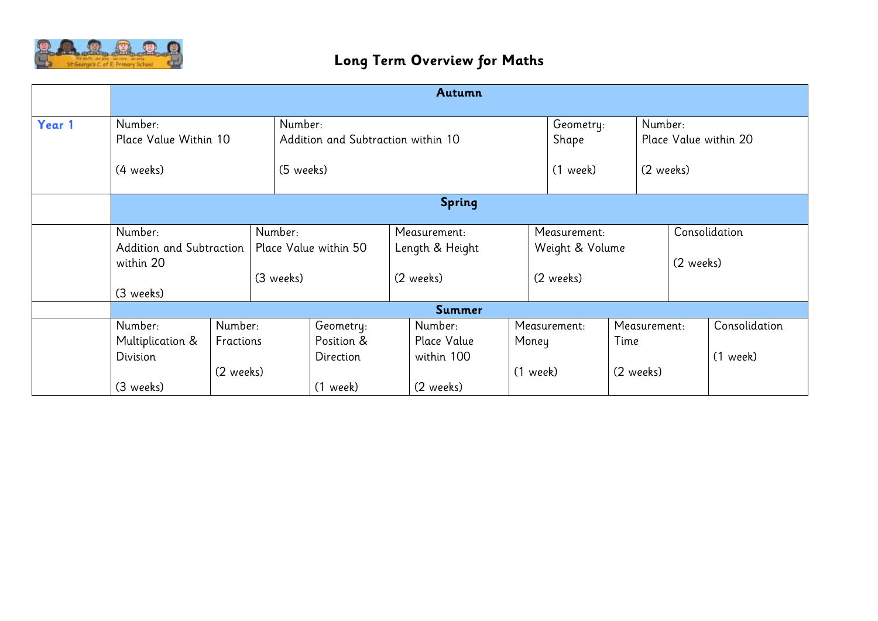

|        | Autumn                                           |                                   |                                               |                                                                     |  |                                              |  |                                              |                                   |                                  |                             |
|--------|--------------------------------------------------|-----------------------------------|-----------------------------------------------|---------------------------------------------------------------------|--|----------------------------------------------|--|----------------------------------------------|-----------------------------------|----------------------------------|-----------------------------|
| Year 1 | Number:<br>Place Value Within 10                 |                                   |                                               | Number:<br>Geometry:<br>Addition and Subtraction within 10<br>Shape |  |                                              |  |                                              |                                   | Number:<br>Place Value within 20 |                             |
|        | (4 weeks)                                        |                                   |                                               | (5 weeks)                                                           |  |                                              |  |                                              | $(1$ week)<br>(2 weeks)           |                                  |                             |
|        | <b>Spring</b>                                    |                                   |                                               |                                                                     |  |                                              |  |                                              |                                   |                                  |                             |
|        | Number:<br>Addition and Subtraction<br>within 20 |                                   | Number:<br>Place Value within 50<br>(3 weeks) |                                                                     |  | Measurement:<br>Length & Height<br>(2 weeks) |  | Measurement:<br>Weight & Volume<br>(2 weeks) |                                   | Consolidation<br>(2 weeks)       |                             |
|        | (3 weeks)                                        |                                   |                                               |                                                                     |  | Summer                                       |  |                                              |                                   |                                  |                             |
|        | Number:<br>Multiplication &<br>Division          | Number:<br>Fractions<br>(2 weeks) |                                               | Geometry:<br>Position &<br>Direction                                |  | Number:<br>Place Value<br>within 100         |  | Measurement:<br>Money<br>(1 week)            | Measurement:<br>Time<br>(2 weeks) |                                  | Consolidation<br>$(1$ week) |
|        | (3 weeks)                                        |                                   |                                               | $(1$ week)                                                          |  | (2 weeks)                                    |  |                                              |                                   |                                  |                             |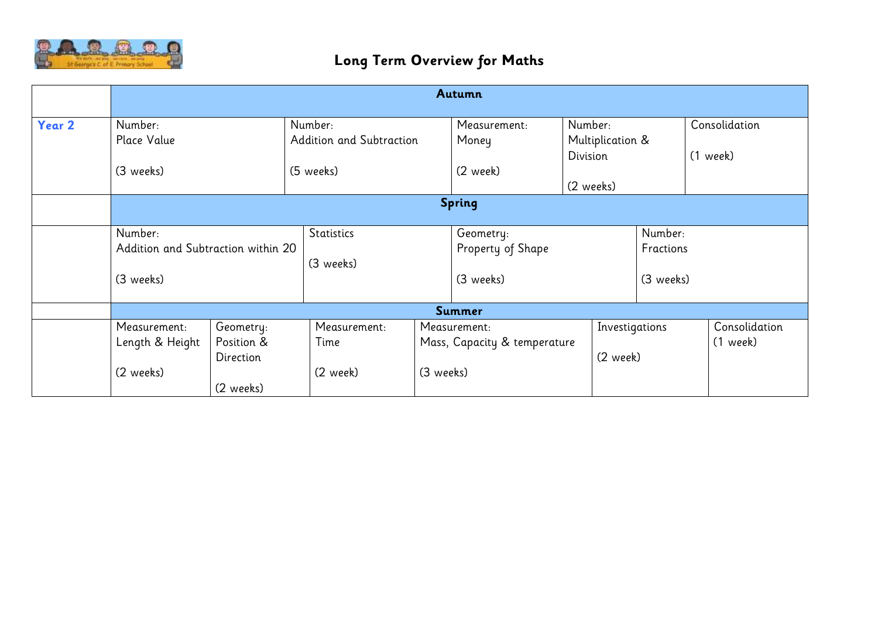

|        | Autumn                             |            |                          |           |                              |                  |                |               |  |  |  |
|--------|------------------------------------|------------|--------------------------|-----------|------------------------------|------------------|----------------|---------------|--|--|--|
| Year 2 | Number:                            |            | Number:                  |           | Measurement:                 | Number:          |                | Consolidation |  |  |  |
|        | Place Value                        |            | Addition and Subtraction |           | Money                        | Multiplication & |                |               |  |  |  |
|        |                                    |            |                          |           |                              | Division         |                | $(1$ week)    |  |  |  |
|        | (3 weeks)                          |            | (5 weeks)                |           | (2 week)                     |                  |                |               |  |  |  |
|        |                                    |            |                          |           |                              | (2 weeks)        |                |               |  |  |  |
|        | <b>Spring</b>                      |            |                          |           |                              |                  |                |               |  |  |  |
|        |                                    |            |                          |           |                              |                  |                |               |  |  |  |
|        | Number:                            |            | <b>Statistics</b>        |           | Geometry:                    |                  |                | Number:       |  |  |  |
|        | Addition and Subtraction within 20 |            |                          |           | Property of Shape            |                  | Fractions      |               |  |  |  |
|        |                                    |            | (3 weeks)                |           |                              |                  |                |               |  |  |  |
|        | (3 weeks)                          |            |                          |           | (3 weeks)                    |                  | (3 weeks)      |               |  |  |  |
|        |                                    |            |                          |           |                              |                  |                |               |  |  |  |
|        |                                    |            |                          |           | Summer                       |                  |                |               |  |  |  |
|        | Measurement:                       | Geometry:  | Measurement:             |           | Measurement:                 |                  | Investigations | Consolidation |  |  |  |
|        | Length & Height                    | Position & | Time                     |           | Mass, Capacity & temperature |                  | $(1$ week)     |               |  |  |  |
|        |                                    | Direction  |                          |           |                              | (2 week)         |                |               |  |  |  |
|        | (2 weeks)                          |            | (2 week)                 | (3 weeks) |                              |                  |                |               |  |  |  |
|        |                                    | (2 weeks)  |                          |           |                              |                  |                |               |  |  |  |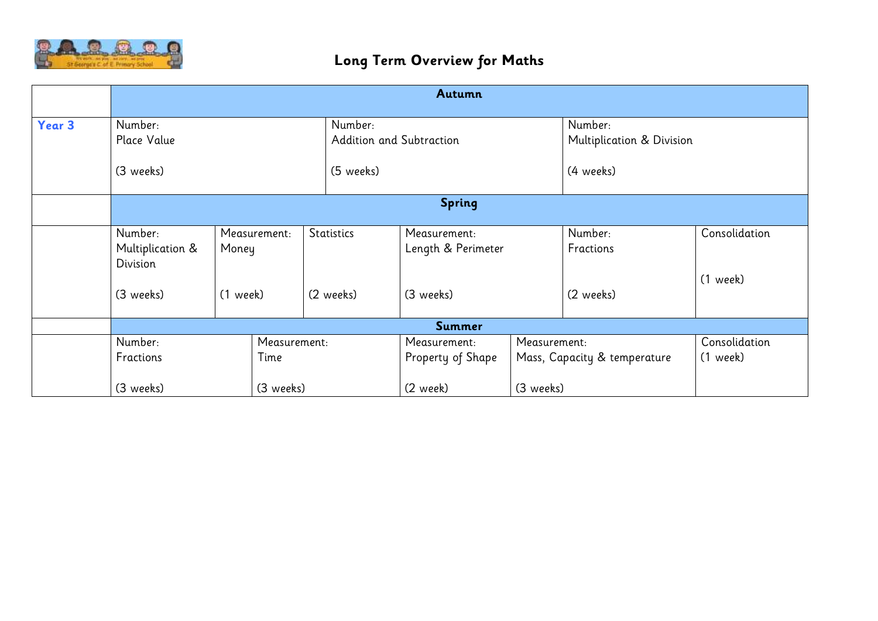

|        | Autumn                                  |                                     |           |                   |                                     |                                    |              |                                      |                           |  |  |
|--------|-----------------------------------------|-------------------------------------|-----------|-------------------|-------------------------------------|------------------------------------|--------------|--------------------------------------|---------------------------|--|--|
| Year 3 | Number:<br>Place Value                  |                                     |           |                   | Number:<br>Addition and Subtraction |                                    |              | Number:<br>Multiplication & Division |                           |  |  |
|        | (3 weeks)                               |                                     |           |                   | (5 weeks)                           |                                    |              | (4 weeks)                            |                           |  |  |
|        | <b>Spring</b>                           |                                     |           |                   |                                     |                                    |              |                                      |                           |  |  |
|        | Number:<br>Multiplication &<br>Division | Measurement:<br>Money<br>$(1$ week) |           | <b>Statistics</b> |                                     | Measurement:<br>Length & Perimeter |              | Number:<br>Fractions                 | Consolidation             |  |  |
|        | (3 weeks)                               |                                     |           |                   | (2 weeks)                           | (3 weeks)                          |              | (2 weeks)                            | $(1$ week)                |  |  |
|        |                                         |                                     |           |                   |                                     | <b>Summer</b>                      |              |                                      |                           |  |  |
|        | Number:<br>Fractions                    | Measurement:<br>Time                |           |                   |                                     | Measurement:<br>Property of Shape  | Measurement: | Mass, Capacity & temperature         | Consolidation<br>(1 week) |  |  |
|        | (3 weeks)                               |                                     | (3 weeks) |                   | (2 week)                            |                                    |              | (3 weeks)                            |                           |  |  |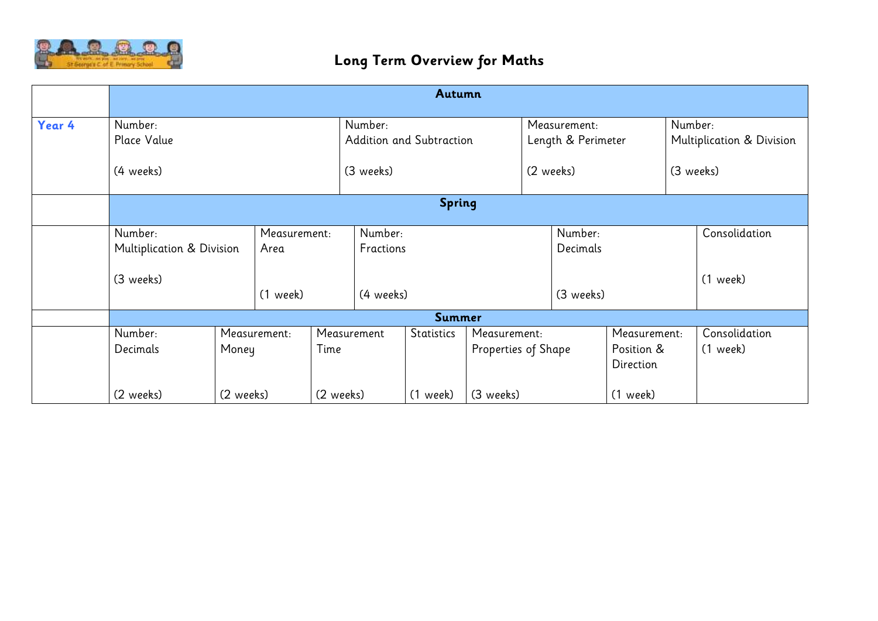

|        | Autumn                                            |           |                                    |           |             |                          |                                     |                         |           |                                         |  |                             |
|--------|---------------------------------------------------|-----------|------------------------------------|-----------|-------------|--------------------------|-------------------------------------|-------------------------|-----------|-----------------------------------------|--|-----------------------------|
| Year 4 | Number:                                           |           | Number:                            |           |             | Measurement:             |                                     |                         | Number:   |                                         |  |                             |
|        | Place Value                                       |           |                                    |           |             | Addition and Subtraction |                                     | Length & Perimeter      |           |                                         |  | Multiplication & Division   |
|        | (4 weeks)                                         |           |                                    |           | (3 weeks)   |                          |                                     | (2 weeks)               |           | (3 weeks)                               |  |                             |
|        | <b>Spring</b>                                     |           |                                    |           |             |                          |                                     |                         |           |                                         |  |                             |
|        | Number:<br>Multiplication & Division<br>(3 weeks) |           | Measurement:<br>Area<br>$(1$ week) |           | Number:     |                          |                                     |                         | Number:   |                                         |  | Consolidation               |
|        |                                                   |           |                                    |           | Fractions   |                          |                                     | Decimals                |           |                                         |  |                             |
|        |                                                   |           |                                    |           | (4 weeks)   |                          |                                     |                         | (3 weeks) |                                         |  | $(1$ week)                  |
|        |                                                   |           |                                    |           |             | Summer                   |                                     |                         |           |                                         |  |                             |
|        | Number:<br>Decimals                               |           | Measurement:<br>Time<br>Money      |           | Measurement | Statistics               | Measurement:<br>Properties of Shape |                         |           | Measurement:<br>Position &<br>Direction |  | Consolidation<br>$(1$ week) |
|        | (2 weeks)                                         | (2 weeks) |                                    | (2 weeks) | $(1$ week)  |                          |                                     | (3 weeks)<br>$(1$ week) |           |                                         |  |                             |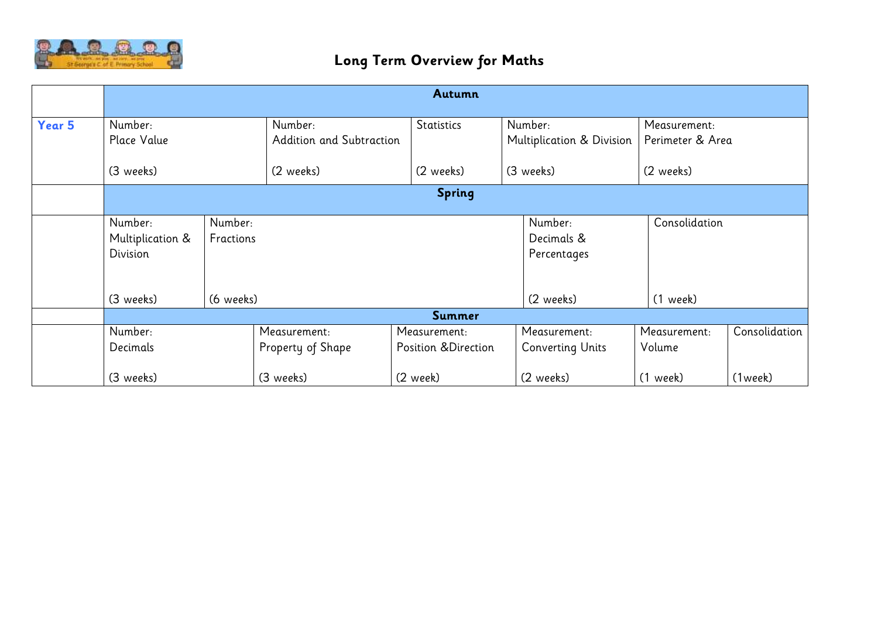

|        | Autumn           |           |                          |                     |                           |                  |               |  |  |  |  |
|--------|------------------|-----------|--------------------------|---------------------|---------------------------|------------------|---------------|--|--|--|--|
|        |                  |           |                          |                     |                           |                  |               |  |  |  |  |
| Year 5 | Number:          |           | Number:                  | Statistics          | Number:                   |                  | Measurement:  |  |  |  |  |
|        | Place Value      |           | Addition and Subtraction |                     | Multiplication & Division | Perimeter & Area |               |  |  |  |  |
|        | (3 weeks)        |           | (2 weeks)                | (2 weeks)           | (3 weeks)                 | (2 weeks)        |               |  |  |  |  |
|        | <b>Spring</b>    |           |                          |                     |                           |                  |               |  |  |  |  |
|        | Number:          | Number:   |                          |                     | Number:                   |                  | Consolidation |  |  |  |  |
|        | Multiplication & | Fractions |                          |                     | Decimals &                |                  |               |  |  |  |  |
|        | Division         |           |                          |                     | Percentages               |                  |               |  |  |  |  |
|        |                  |           |                          |                     |                           |                  |               |  |  |  |  |
|        | (3 weeks)        | (6 weeks) |                          |                     | (2 weeks)                 | (1 week)         |               |  |  |  |  |
|        |                  |           |                          | Summer              |                           |                  |               |  |  |  |  |
|        | Number:          |           | Measurement:             | Measurement:        | Measurement:              | Measurement:     | Consolidation |  |  |  |  |
|        | Decimals         |           | Property of Shape        | Position &Direction | <b>Converting Units</b>   | Volume           |               |  |  |  |  |
|        | (3 weeks)        |           | (3 weeks)                | (2 week)            | (2 weeks)                 | (1 week)         | (1week)       |  |  |  |  |